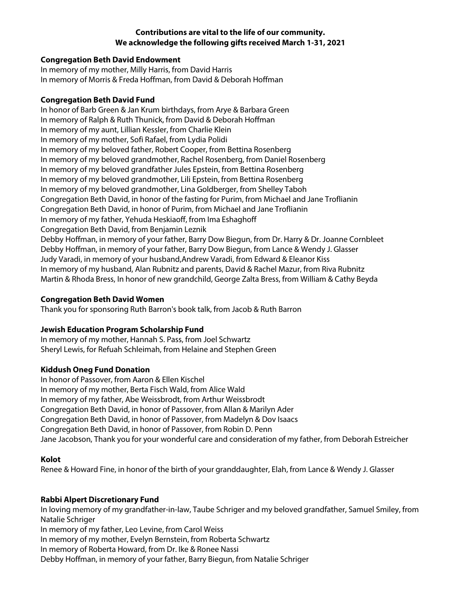# **Contributions are vital to the life of our community. We acknowledge the following gifts received March 1-31, 2021**

#### **Congregation Beth David Endowment**

In memory of my mother, Milly Harris, from David Harris In memory of Morris & Freda Hoffman, from David & Deborah Hoffman

#### **Congregation Beth David Fund**

In honor of Barb Green & Jan Krum birthdays, from Arye & Barbara Green In memory of Ralph & Ruth Thunick, from David & Deborah Hoffman In memory of my aunt, Lillian Kessler, from Charlie Klein In memory of my mother, Sofi Rafael, from Lydia Polidi In memory of my beloved father, Robert Cooper, from Bettina Rosenberg In memory of my beloved grandmother, Rachel Rosenberg, from Daniel Rosenberg In memory of my beloved grandfather Jules Epstein, from Bettina Rosenberg In memory of my beloved grandmother, Lili Epstein, from Bettina Rosenberg In memory of my beloved grandmother, Lina Goldberger, from Shelley Taboh Congregation Beth David, in honor of the fasting for Purim, from Michael and Jane Troflianin Congregation Beth David, in honor of Purim, from Michael and Jane Troflianin In memory of my father, Yehuda Heskiaoff, from Ima Eshaghoff Congregation Beth David, from Benjamin Leznik Debby Hoffman, in memory of your father, Barry Dow Biegun, from Dr. Harry & Dr. Joanne Cornbleet Debby Hoffman, in memory of your father, Barry Dow Biegun, from Lance & Wendy J. Glasser Judy Varadi, in memory of your husband,Andrew Varadi, from Edward & Eleanor Kiss In memory of my husband, Alan Rubnitz and parents, David & Rachel Mazur, from Riva Rubnitz Martin & Rhoda Bress, In honor of new grandchild, George Zalta Bress, from William & Cathy Beyda

#### **Congregation Beth David Women**

Thank you for sponsoring Ruth Barron's book talk, from Jacob & Ruth Barron

# **Jewish Education Program Scholarship Fund**

In memory of my mother, Hannah S. Pass, from Joel Schwartz Sheryl Lewis, for Refuah Schleimah, from Helaine and Stephen Green

# **Kiddush Oneg Fund Donation**

In honor of Passover, from Aaron & Ellen Kischel In memory of my mother, Berta Fisch Wald, from Alice Wald In memory of my father, Abe Weissbrodt, from Arthur Weissbrodt Congregation Beth David, in honor of Passover, from Allan & Marilyn Ader Congregation Beth David, in honor of Passover, from Madelyn & Dov Isaacs Congregation Beth David, in honor of Passover, from Robin D. Penn Jane Jacobson, Thank you for your wonderful care and consideration of my father, from Deborah Estreicher

# **Kolot**

Renee & Howard Fine, in honor of the birth of your granddaughter, Elah, from Lance & Wendy J. Glasser

# **Rabbi Alpert Discretionary Fund**

In loving memory of my grandfather-in-law, Taube Schriger and my beloved grandfather, Samuel Smiley, from Natalie Schriger

In memory of my father, Leo Levine, from Carol Weiss

In memory of my mother, Evelyn Bernstein, from Roberta Schwartz

In memory of Roberta Howard, from Dr. Ike & Ronee Nassi

Debby Hoffman, in memory of your father, Barry Biegun, from Natalie Schriger